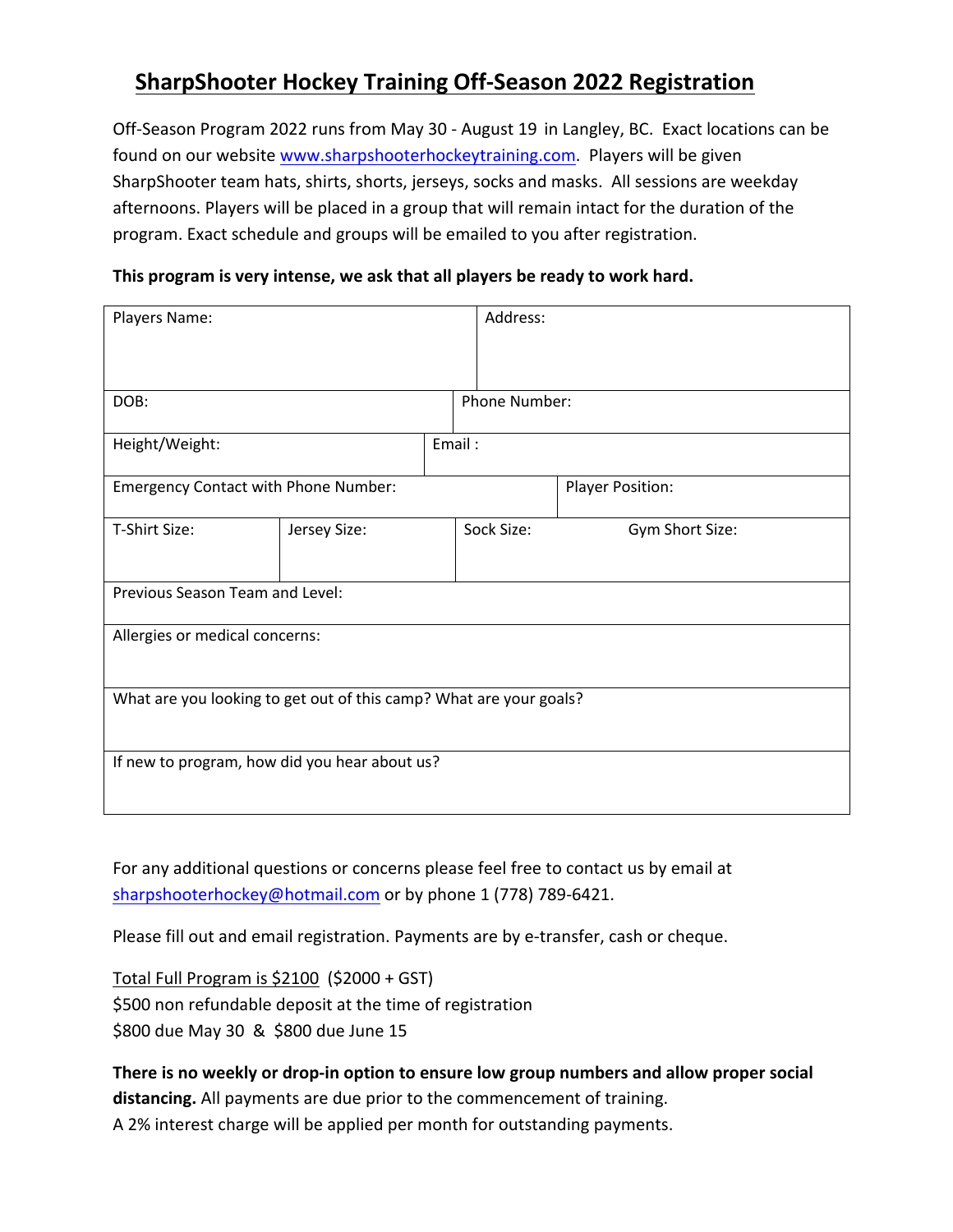# **SharpShooter Hockey Training Off-Season 2022 Registration**

Off-Season Program 2022 runs from May 30 - August 19 in Langley, BC. Exact locations can be found on our website www.sharpshooterhockeytraining.com. Players will be given SharpShooter team hats, shirts, shorts, jerseys, socks and masks. All sessions are weekday afternoons. Players will be placed in a group that will remain intact for the duration of the program. Exact schedule and groups will be emailed to you after registration.

### **This program is very intense, we ask that all players be ready to work hard.**

| Players Name:                                                      |              |  | Address:      |                         |  |
|--------------------------------------------------------------------|--------------|--|---------------|-------------------------|--|
|                                                                    |              |  |               |                         |  |
| DOB:                                                               |              |  | Phone Number: |                         |  |
| Height/Weight:                                                     |              |  | Email:        |                         |  |
| <b>Emergency Contact with Phone Number:</b>                        |              |  |               | <b>Player Position:</b> |  |
| T-Shirt Size:                                                      | Jersey Size: |  | Sock Size:    | Gym Short Size:         |  |
| Previous Season Team and Level:                                    |              |  |               |                         |  |
| Allergies or medical concerns:                                     |              |  |               |                         |  |
| What are you looking to get out of this camp? What are your goals? |              |  |               |                         |  |
| If new to program, how did you hear about us?                      |              |  |               |                         |  |

For any additional questions or concerns please feel free to contact us by email at sharpshooterhockey@hotmail.com or by phone 1 (778) 789-6421.

Please fill out and email registration. Payments are by e-transfer, cash or cheque.

Total Full Program is \$2100 (\$2000 + GST) \$500 non refundable deposit at the time of registration \$800 due May 30 & \$800 due June 15

## **There is no weekly or drop-in option to ensure low group numbers and allow proper social distancing.** All payments are due prior to the commencement of training. A 2% interest charge will be applied per month for outstanding payments.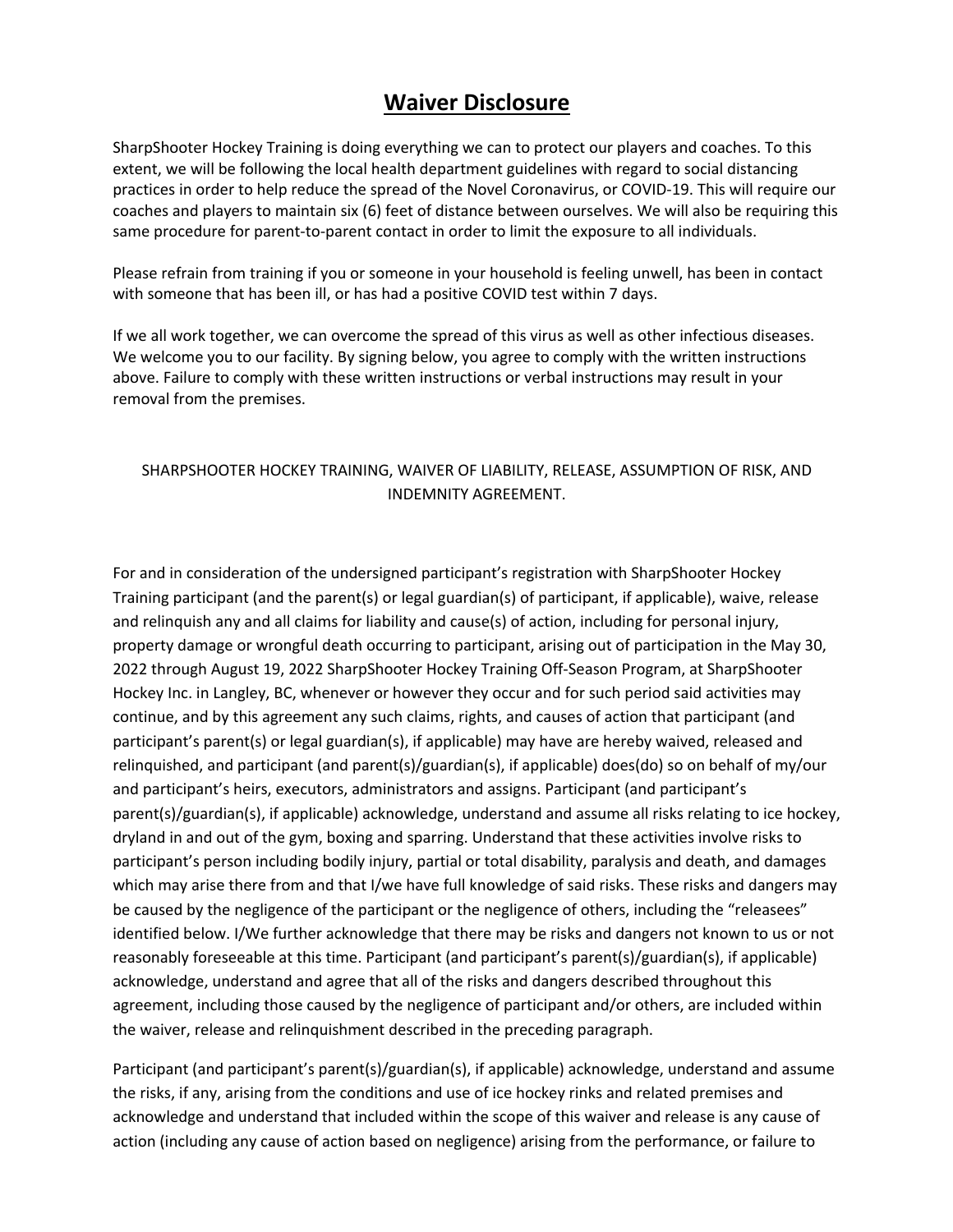## **Waiver Disclosure**

SharpShooter Hockey Training is doing everything we can to protect our players and coaches. To this extent, we will be following the local health department guidelines with regard to social distancing practices in order to help reduce the spread of the Novel Coronavirus, or COVID-19. This will require our coaches and players to maintain six (6) feet of distance between ourselves. We will also be requiring this same procedure for parent-to-parent contact in order to limit the exposure to all individuals.

Please refrain from training if you or someone in your household is feeling unwell, has been in contact with someone that has been ill, or has had a positive COVID test within 7 days.

If we all work together, we can overcome the spread of this virus as well as other infectious diseases. We welcome you to our facility. By signing below, you agree to comply with the written instructions above. Failure to comply with these written instructions or verbal instructions may result in your removal from the premises.

#### SHARPSHOOTER HOCKEY TRAINING, WAIVER OF LIABILITY, RELEASE, ASSUMPTION OF RISK, AND INDEMNITY AGREEMENT.

For and in consideration of the undersigned participant's registration with SharpShooter Hockey Training participant (and the parent(s) or legal guardian(s) of participant, if applicable), waive, release and relinquish any and all claims for liability and cause(s) of action, including for personal injury, property damage or wrongful death occurring to participant, arising out of participation in the May 30, 2022 through August 19, 2022 SharpShooter Hockey Training Off-Season Program, at SharpShooter Hockey Inc. in Langley, BC, whenever or however they occur and for such period said activities may continue, and by this agreement any such claims, rights, and causes of action that participant (and participant's parent(s) or legal guardian(s), if applicable) may have are hereby waived, released and relinquished, and participant (and parent(s)/guardian(s), if applicable) does(do) so on behalf of my/our and participant's heirs, executors, administrators and assigns. Participant (and participant's parent(s)/guardian(s), if applicable) acknowledge, understand and assume all risks relating to ice hockey, dryland in and out of the gym, boxing and sparring. Understand that these activities involve risks to participant's person including bodily injury, partial or total disability, paralysis and death, and damages which may arise there from and that I/we have full knowledge of said risks. These risks and dangers may be caused by the negligence of the participant or the negligence of others, including the "releasees" identified below. I/We further acknowledge that there may be risks and dangers not known to us or not reasonably foreseeable at this time. Participant (and participant's parent(s)/guardian(s), if applicable) acknowledge, understand and agree that all of the risks and dangers described throughout this agreement, including those caused by the negligence of participant and/or others, are included within the waiver, release and relinquishment described in the preceding paragraph.

Participant (and participant's parent(s)/guardian(s), if applicable) acknowledge, understand and assume the risks, if any, arising from the conditions and use of ice hockey rinks and related premises and acknowledge and understand that included within the scope of this waiver and release is any cause of action (including any cause of action based on negligence) arising from the performance, or failure to